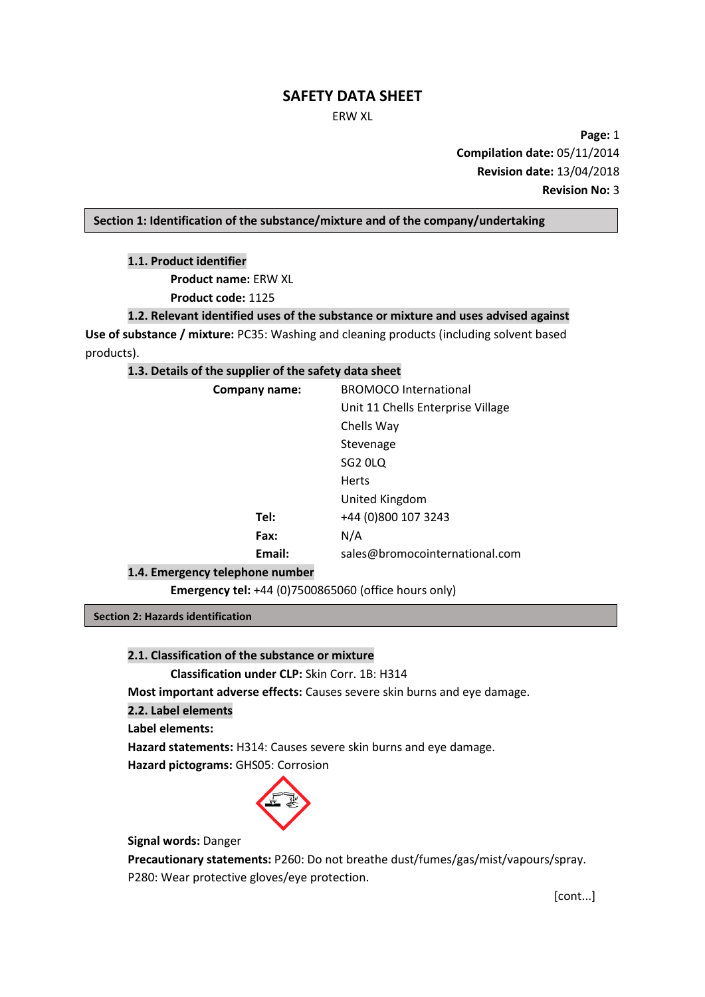#### ERW XL

**Page:** 1 **Compilation date:** 05/11/2014 **Revision date:** 13/04/2018 **Revision No:** 3

## **Section 1: Identification of the substance/mixture and of the company/undertaking**

**1.1. Product identifier**

**Product name:** ERW XL

**Product code:** 1125

# **1.2. Relevant identified uses of the substance or mixture and uses advised against**

**Use of substance / mixture:** PC35: Washing and cleaning products (including solvent based products).

# **1.3. Details of the supplier of the safety data sheet**

| Company name: | <b>BROMOCO</b> International      |
|---------------|-----------------------------------|
|               | Unit 11 Chells Enterprise Village |
|               | Chells Way                        |
|               | Stevenage                         |
|               | SG <sub>2</sub> OLQ               |
|               | <b>Herts</b>                      |
|               | United Kingdom                    |
| Tel:          | +44 (0)800 107 3243               |
| Fax:          | N/A                               |
| Email:        | sales@bromocointernational.com    |
|               |                                   |

## **1.4. Emergency telephone number**

**Emergency tel:** +44 (0)7500865060 (office hours only)

**Section 2: Hazards identification**

## **2.1. Classification of the substance or mixture**

**Classification under CLP:** Skin Corr. 1B: H314

**Most important adverse effects:** Causes severe skin burns and eye damage.

**2.2. Label elements**

**Label elements:**

**Hazard statements:** H314: Causes severe skin burns and eye damage.

**Hazard pictograms: GHS05: Corrosion** 



**Signal words:** Danger

**Precautionary statements:** P260: Do not breathe dust/fumes/gas/mist/vapours/spray. P280: Wear protective gloves/eye protection.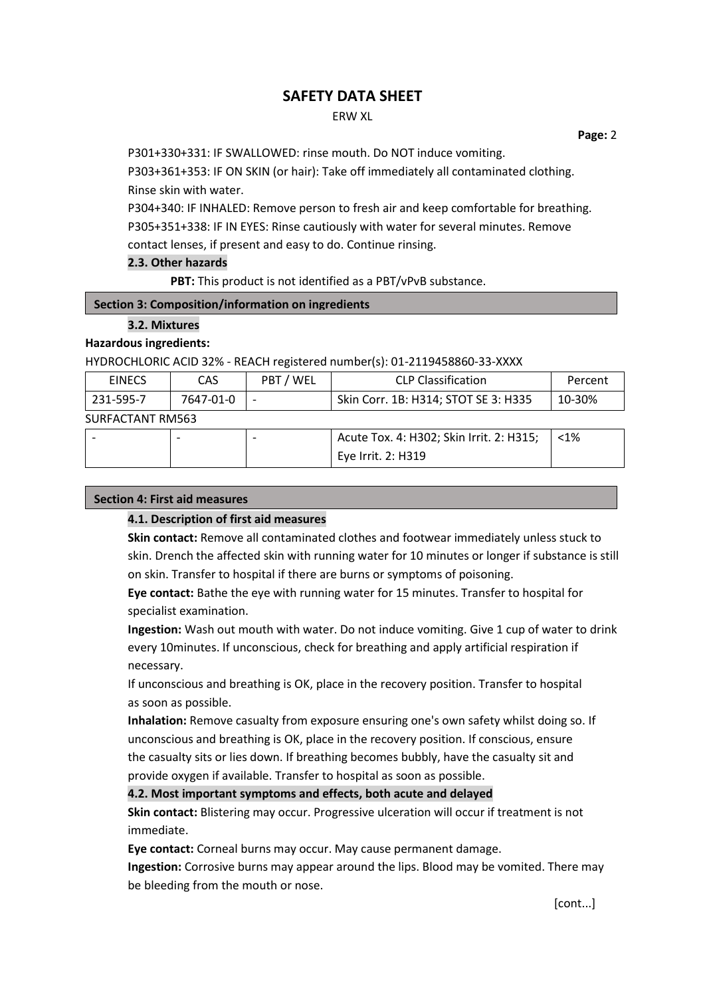## ERW XL

 **Page:** 2

P301+330+331: IF SWALLOWED: rinse mouth. Do NOT induce vomiting.

P303+361+353: IF ON SKIN (or hair): Take off immediately all contaminated clothing. Rinse skin with water.

P304+340: IF INHALED: Remove person to fresh air and keep comfortable for breathing. P305+351+338: IF IN EYES: Rinse cautiously with water for several minutes. Remove contact lenses, if present and easy to do. Continue rinsing.

# **2.3. Other hazards**

**PBT:** This product is not identified as a PBT/vPvB substance.

# **Section 3: Composition/information on ingredients**

# **3.2. Mixtures**

**Hazardous ingredients:**

## HYDROCHLORIC ACID 32% - REACH registered number(s): 01-2119458860-33-XXXX

| <b>EINECS</b>    | CAS.      | PBT / WEL                            | <b>CLP Classification</b>                | Percent |  |
|------------------|-----------|--------------------------------------|------------------------------------------|---------|--|
| 231-595-7        | 7647-01-0 | Skin Corr. 1B: H314; STOT SE 3: H335 |                                          | 10-30%  |  |
| SURFACTANT RM563 |           |                                      |                                          |         |  |
|                  |           |                                      | Acute Tox. 4: H302; Skin Irrit. 2: H315; | $< 1\%$ |  |
|                  |           |                                      | Eye Irrit. 2: H319                       |         |  |

# **Section 4: First aid measures**

# **4.1. Description of first aid measures**

**Skin contact:** Remove all contaminated clothes and footwear immediately unless stuck to skin. Drench the affected skin with running water for 10 minutes or longer if substance is still on skin. Transfer to hospital if there are burns or symptoms of poisoning.

**Eye contact:** Bathe the eye with running water for 15 minutes. Transfer to hospital for specialist examination.

**Ingestion:** Wash out mouth with water. Do not induce vomiting. Give 1 cup of water to drink every 10minutes. If unconscious, check for breathing and apply artificial respiration if necessary.

If unconscious and breathing is OK, place in the recovery position. Transfer to hospital as soon as possible.

**Inhalation:** Remove casualty from exposure ensuring one's own safety whilst doing so. If unconscious and breathing is OK, place in the recovery position. If conscious, ensure the casualty sits or lies down. If breathing becomes bubbly, have the casualty sit and provide oxygen if available. Transfer to hospital as soon as possible.

**4.2. Most important symptoms and effects, both acute and delayed**

**Skin contact:** Blistering may occur. Progressive ulceration will occur if treatment is not immediate.

**Eye contact:** Corneal burns may occur. May cause permanent damage.

**Ingestion:** Corrosive burns may appear around the lips. Blood may be vomited. There may be bleeding from the mouth or nose.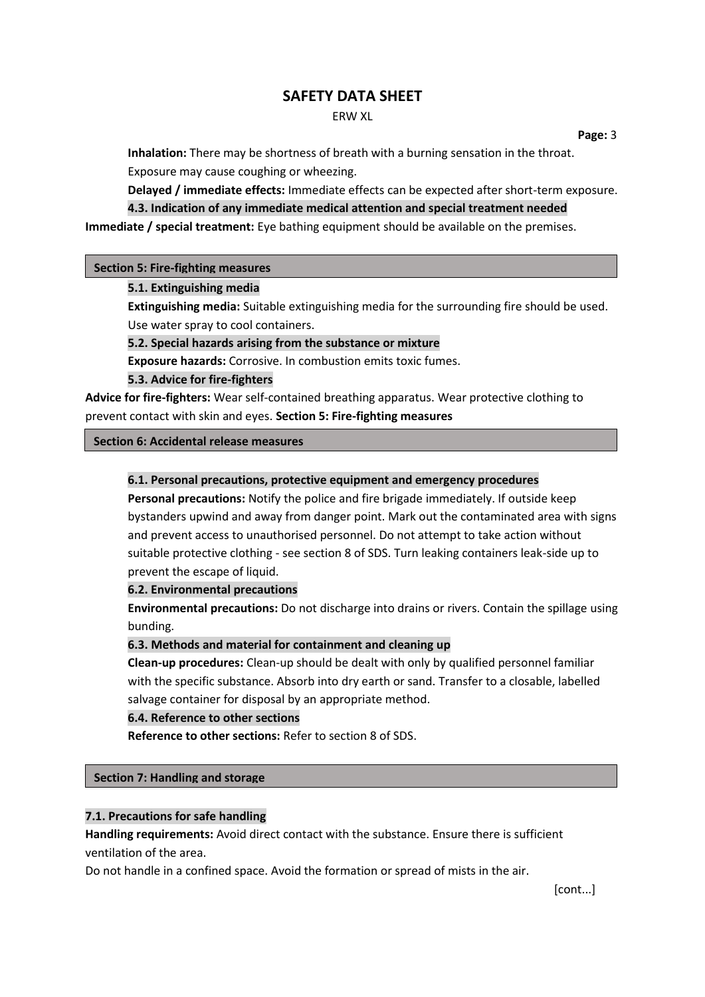#### ERW XL

 **Page:** 3

**Inhalation:** There may be shortness of breath with a burning sensation in the throat. Exposure may cause coughing or wheezing.

**Delayed / immediate effects:** Immediate effects can be expected after short-term exposure. **4.3. Indication of any immediate medical attention and special treatment needed**

**Immediate / special treatment:** Eye bathing equipment should be available on the premises.

#### **Section 5: Fire-fighting measures**

#### **5.1. Extinguishing media**

**Extinguishing media:** Suitable extinguishing media for the surrounding fire should be used. Use water spray to cool containers.

**5.2. Special hazards arising from the substance or mixture**

**Exposure hazards:** Corrosive. In combustion emits toxic fumes.

**5.3. Advice for fire-fighters**

**Advice for fire-fighters:** Wear self-contained breathing apparatus. Wear protective clothing to prevent contact with skin and eyes. **Section 5: Fire-fighting measures**

#### **Section 6: Accidental release measures**

## **6.1. Personal precautions, protective equipment and emergency procedures**

**Personal precautions:** Notify the police and fire brigade immediately. If outside keep bystanders upwind and away from danger point. Mark out the contaminated area with signs and prevent access to unauthorised personnel. Do not attempt to take action without suitable protective clothing - see section 8 of SDS. Turn leaking containers leak-side up to prevent the escape of liquid.

## **6.2. Environmental precautions**

**Environmental precautions:** Do not discharge into drains or rivers. Contain the spillage using bunding.

## **6.3. Methods and material for containment and cleaning up**

**Clean-up procedures:** Clean-up should be dealt with only by qualified personnel familiar with the specific substance. Absorb into dry earth or sand. Transfer to a closable, labelled salvage container for disposal by an appropriate method.

#### **6.4. Reference to other sections**

**Reference to other sections:** Refer to section 8 of SDS.

## **Section 7: Handling and storage**

# **7.1. Precautions for safe handling**

**Handling requirements:** Avoid direct contact with the substance. Ensure there is sufficient ventilation of the area.

Do not handle in a confined space. Avoid the formation or spread of mists in the air.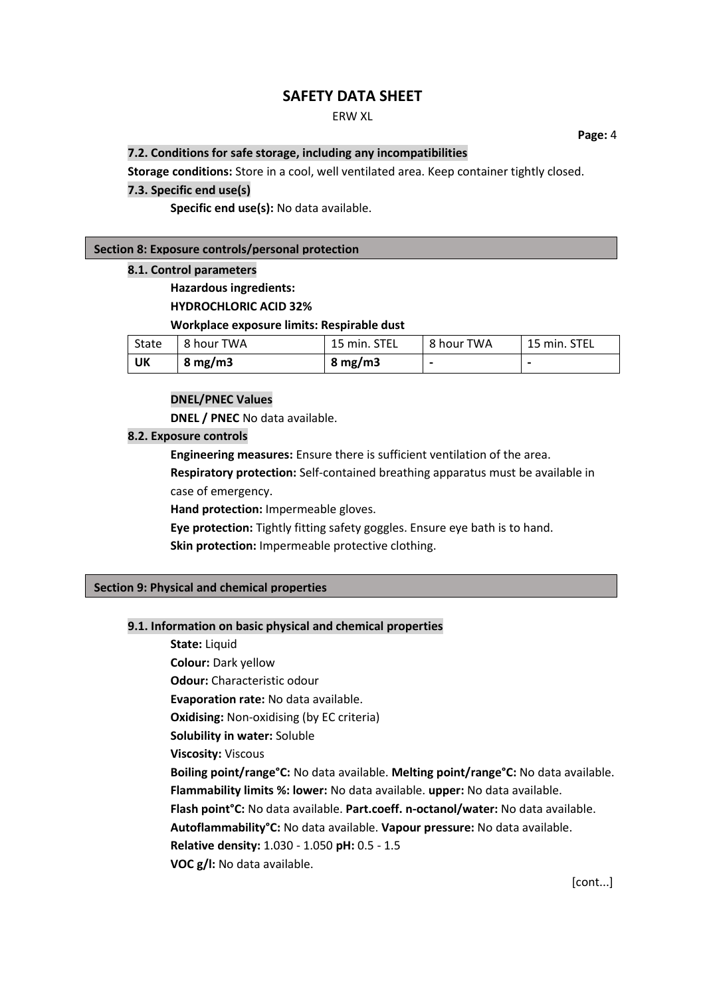# ERW XL

**7.2. Conditions for safe storage, including any incompatibilities**

 **Page:** 4

**Storage conditions:** Store in a cool, well ventilated area. Keep container tightly closed.

## **7.3. Specific end use(s)**

**Specific end use(s):** No data available.

#### **Section 8: Exposure controls/personal protection**

#### **8.1. Control parameters**

**Hazardous ingredients: HYDROCHLORIC ACID 32%**

# **Workplace exposure limits: Respirable dust**

| State | 8 hour TWA       | 15 min. STEL     | 8 hour TWA     | <sup>1</sup> 15 min. STEL |
|-------|------------------|------------------|----------------|---------------------------|
| UK    | $8 \text{ mg/m}$ | $8 \text{ mg/m}$ | $\blacksquare$ |                           |

### **DNEL/PNEC Values**

**DNEL / PNEC** No data available.

# **8.2. Exposure controls**

**Engineering measures:** Ensure there is sufficient ventilation of the area. **Respiratory protection:** Self-contained breathing apparatus must be available in case of emergency.

**Hand protection:** Impermeable gloves.

**Eye protection:** Tightly fitting safety goggles. Ensure eye bath is to hand.

**Skin protection:** Impermeable protective clothing.

#### **Section 9: Physical and chemical properties**

#### **9.1. Information on basic physical and chemical properties**

**State:** Liquid **Colour:** Dark yellow **Odour:** Characteristic odour **Evaporation rate:** No data available. **Oxidising:** Non-oxidising (by EC criteria) **Solubility in water:** Soluble **Viscosity:** Viscous **Boiling point/range°C:** No data available. **Melting point/range°C:** No data available. **Flammability limits %: lower:** No data available. **upper:** No data available. **Flash point°C:** No data available. **Part.coeff. n-octanol/water:** No data available. **Autoflammability°C:** No data available. **Vapour pressure:** No data available. **Relative density:** 1.030 - 1.050 **pH:** 0.5 - 1.5 **VOC g/l:** No data available.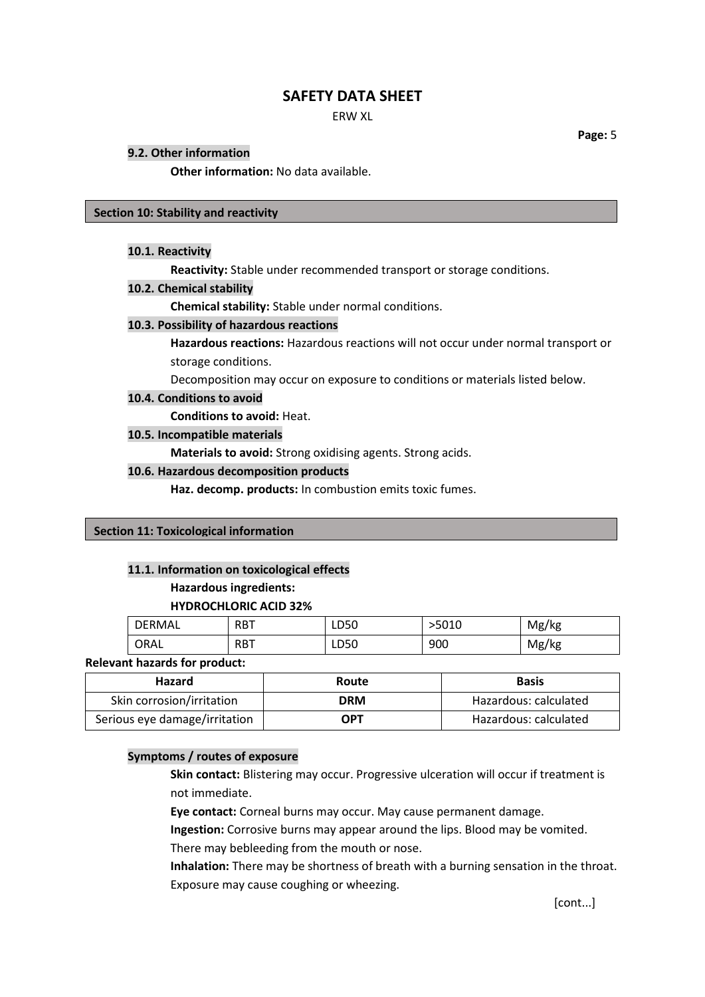ERW XL

 **Page:** 5

#### **9.2. Other information**

**Other information:** No data available.

#### **Section 10: Stability and reactivity**

#### **10.1. Reactivity**

**Reactivity:** Stable under recommended transport or storage conditions.

#### **10.2. Chemical stability**

**Chemical stability:** Stable under normal conditions.

#### **10.3. Possibility of hazardous reactions**

**Hazardous reactions:** Hazardous reactions will not occur under normal transport or storage conditions.

Decomposition may occur on exposure to conditions or materials listed below.

#### **10.4. Conditions to avoid**

**Conditions to avoid:** Heat.

## **10.5. Incompatible materials**

**Materials to avoid:** Strong oxidising agents. Strong acids.

#### **10.6. Hazardous decomposition products**

**Haz. decomp. products:** In combustion emits toxic fumes.

## **Section 11: Toxicological information**

## **11.1. Information on toxicological effects**

## **Hazardous ingredients:**

## **HYDROCHLORIC ACID 32%**

| <b>DERMAL</b> | <b>RBT</b> | LD50 | >5010 | Mg/kg |
|---------------|------------|------|-------|-------|
| ORAL          | <b>RBT</b> | LD50 | 900   | Mg/kg |

## **Relevant hazards for product:**

| <b>Hazard</b>                 | Route      | <b>Basis</b>          |
|-------------------------------|------------|-----------------------|
| Skin corrosion/irritation     | <b>DRM</b> | Hazardous: calculated |
| Serious eye damage/irritation | OPT        | Hazardous: calculated |

# **Symptoms / routes of exposure**

**Skin contact:** Blistering may occur. Progressive ulceration will occur if treatment is not immediate.

**Eye contact:** Corneal burns may occur. May cause permanent damage.

**Ingestion:** Corrosive burns may appear around the lips. Blood may be vomited.

There may bebleeding from the mouth or nose.

**Inhalation:** There may be shortness of breath with a burning sensation in the throat. Exposure may cause coughing or wheezing.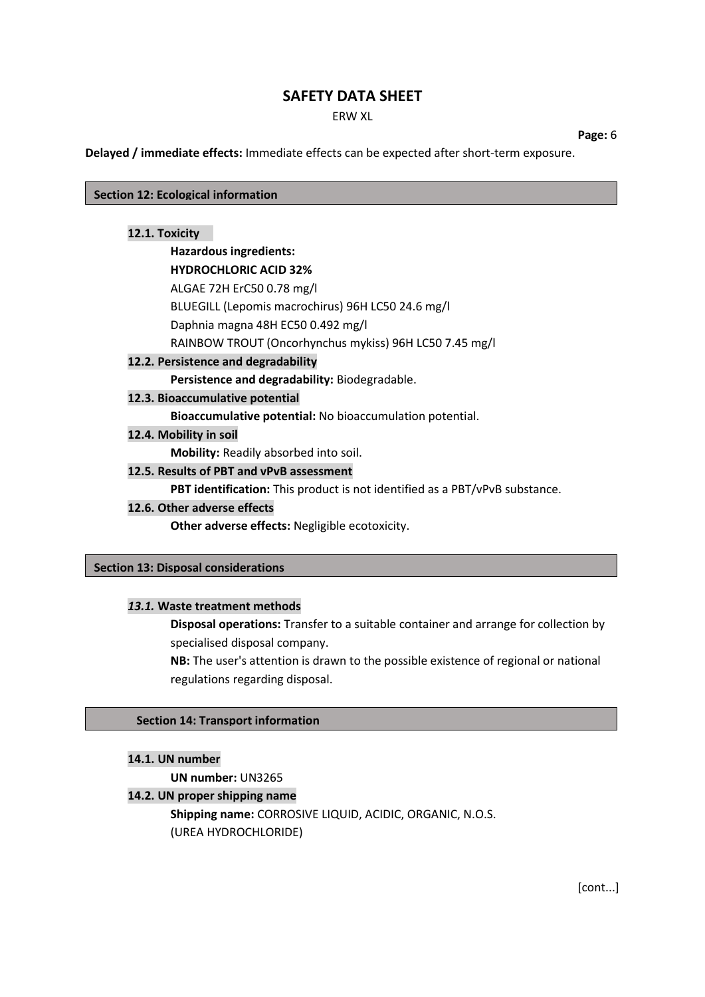ERW XL

 **Page:** 6

**Delayed / immediate effects:** Immediate effects can be expected after short-term exposure.

**Section 12: Ecological information**

## **12.1. Toxicity**

# **Hazardous ingredients:**

**HYDROCHLORIC ACID 32%** ALGAE 72H ErC50 0.78 mg/l BLUEGILL (Lepomis macrochirus) 96H LC50 24.6 mg/l

Daphnia magna 48H EC50 0.492 mg/l RAINBOW TROUT (Oncorhynchus mykiss) 96H LC50 7.45 mg/l

# **12.2. Persistence and degradability**

**Persistence and degradability:** Biodegradable.

# **12.3. Bioaccumulative potential**

**Bioaccumulative potential:** No bioaccumulation potential.

**12.4. Mobility in soil**

**Mobility:** Readily absorbed into soil.

# **12.5. Results of PBT and vPvB assessment**

**PBT identification:** This product is not identified as a PBT/vPvB substance.

## **12.6. Other adverse effects**

**Other adverse effects:** Negligible ecotoxicity.

## **Section 13: Disposal considerations**

# *13.1.* **Waste treatment methods**

**Disposal operations:** Transfer to a suitable container and arrange for collection by specialised disposal company.

**NB:** The user's attention is drawn to the possible existence of regional or national regulations regarding disposal.

# **Section 14: Transport information**

## **14.1. UN number**

**UN number:** UN3265

# **14.2. UN proper shipping name**

**Shipping name:** CORROSIVE LIQUID, ACIDIC, ORGANIC, N.O.S. (UREA HYDROCHLORIDE)